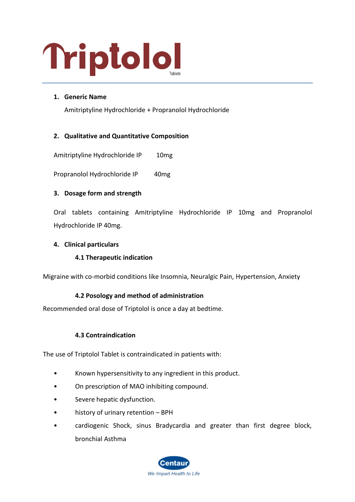# Triptolol

# **1. Generic Name**

Amitriptyline Hydrochloride + Propranolol Hydrochloride

# **2. Qualitative and Quantitative Composition**

Amitriptyline Hydrochloride IP 10mg

Propranolol Hydrochloride IP 40mg

# **3. Dosage form and strength**

Oral tablets containing Amitriptyline Hydrochloride IP 10mg and Propranolol Hydrochloride IP 40mg.

# **4. Clinical particulars**

# **4.1 Therapeutic indication**

Migraine with co-morbid conditions like Insomnia, Neuralgic Pain, Hypertension, Anxiety

# **4.2 Posology and method of administration**

Recommended oral dose of Triptolol is once a day at bedtime.

# **4.3 Contraindication**

The use of Triptolol Tablet is contraindicated in patients with:

- Known hypersensitivity to any ingredient in this product.
- On prescription of MAO inhibiting compound.
- Severe hepatic dysfunction.
- history of urinary retention BPH
- cardiogenic Shock, sinus Bradycardia and greater than first degree block, bronchial Asthma

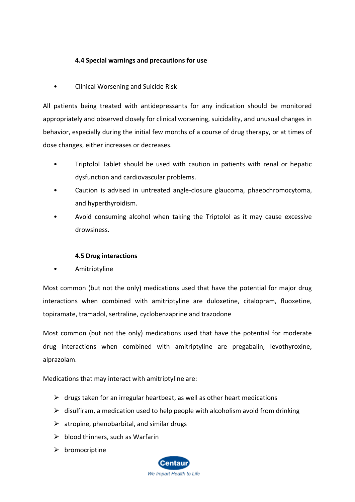# **4.4 Special warnings and precautions for use**

• Clinical Worsening and Suicide Risk

All patients being treated with antidepressants for any indication should be monitored appropriately and observed closely for clinical worsening, suicidality, and unusual changes in behavior, especially during the initial few months of a course of drug therapy, or at times of dose changes, either increases or decreases.

- Triptolol Tablet should be used with caution in patients with renal or hepatic dysfunction and cardiovascular problems.
- Caution is advised in untreated angle-closure glaucoma, phaeochromocytoma, and hyperthyroidism.
- Avoid consuming alcohol when taking the Triptolol as it may cause excessive drowsiness.

# **4.5 Drug interactions**

• Amitriptyline

Most common (but not the only) medications used that have the potential for major drug interactions when combined with amitriptyline are duloxetine, citalopram, fluoxetine, topiramate, tramadol, sertraline, cyclobenzaprine and trazodone

Most common (but not the only) medications used that have the potential for moderate drug interactions when combined with amitriptyline are pregabalin, levothyroxine, alprazolam.

Medications that may interact with amitriptyline are:

- $\triangleright$  drugs taken for an irregular heartbeat, as well as other heart medications
- $\triangleright$  disulfiram, a medication used to help people with alcoholism avoid from drinking
- $\triangleright$  atropine, phenobarbital, and similar drugs
- $\triangleright$  blood thinners, such as Warfarin
- ➢ bromocriptine

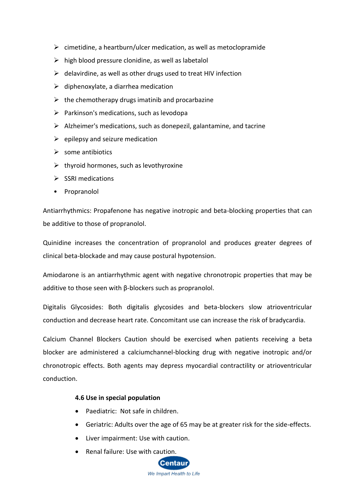- $\triangleright$  cimetidine, a heartburn/ulcer medication, as well as metoclopramide
- $\triangleright$  high blood pressure clonidine, as well as labetalol
- $\triangleright$  delavirdine, as well as other drugs used to treat HIV infection
- $\triangleright$  diphenoxylate, a diarrhea medication
- $\triangleright$  the chemotherapy drugs imatinib and procarbazine
- $\triangleright$  Parkinson's medications, such as levodopa
- ➢ Alzheimer's medications, such as donepezil, galantamine, and tacrine
- $\triangleright$  epilepsy and seizure medication
- $\triangleright$  some antibiotics
- $\triangleright$  thyroid hormones, such as levothyroxine
- ➢ SSRI medications
- Propranolol

Antiarrhythmics: Propafenone has negative inotropic and beta-blocking properties that can be additive to those of propranolol.

Quinidine increases the concentration of propranolol and produces greater degrees of clinical beta-blockade and may cause postural hypotension.

Amiodarone is an antiarrhythmic agent with negative chronotropic properties that may be additive to those seen with β-blockers such as propranolol.

Digitalis Glycosides: Both digitalis glycosides and beta-blockers slow atrioventricular conduction and decrease heart rate. Concomitant use can increase the risk of bradycardia.

Calcium Channel Blockers Caution should be exercised when patients receiving a beta blocker are administered a calciumchannel-blocking drug with negative inotropic and/or chronotropic effects. Both agents may depress myocardial contractility or atrioventricular conduction.

# **4.6 Use in special population**

- Paediatric: Not safe in children.
- Geriatric: Adults over the age of 65 may be at greater risk for the side-effects.
- Liver impairment: Use with caution.
- Renal failure: Use with caution.

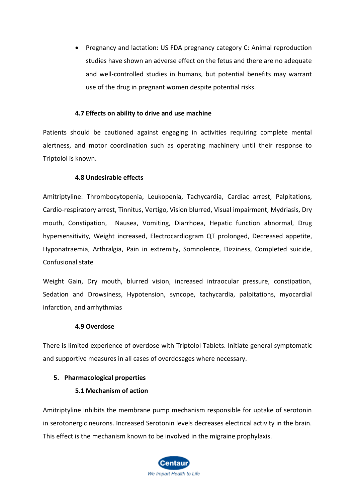• Pregnancy and lactation: US FDA pregnancy category C: Animal reproduction studies have shown an adverse effect on the fetus and there are no adequate and well-controlled studies in humans, but potential benefits may warrant use of the drug in pregnant women despite potential risks.

## **4.7 Effects on ability to drive and use machine**

Patients should be cautioned against engaging in activities requiring complete mental alertness, and motor coordination such as operating machinery until their response to Triptolol is known.

### **4.8 Undesirable effects**

Amitriptyline: Thrombocytopenia, Leukopenia, Tachycardia, Cardiac arrest, Palpitations, Cardio-respiratory arrest, Tinnitus, Vertigo, Vision blurred, Visual impairment, Mydriasis, Dry mouth, Constipation, Nausea, Vomiting, Diarrhoea, Hepatic function abnormal, Drug hypersensitivity, Weight increased, Electrocardiogram QT prolonged, Decreased appetite, Hyponatraemia, Arthralgia, Pain in extremity, Somnolence, Dizziness, Completed suicide, Confusional state

Weight Gain, Dry mouth, blurred vision, increased intraocular pressure, constipation, Sedation and Drowsiness, Hypotension, syncope, tachycardia, palpitations, myocardial infarction, and arrhythmias

#### **4.9 Overdose**

There is limited experience of overdose with Triptolol Tablets. Initiate general symptomatic and supportive measures in all cases of overdosages where necessary.

# **5. Pharmacological properties**

# **5.1 Mechanism of action**

Amitriptyline inhibits the membrane pump mechanism responsible for uptake of serotonin in serotonergic neurons. Increased Serotonin levels decreases electrical activity in the brain. This effect is the mechanism known to be involved in the migraine prophylaxis.

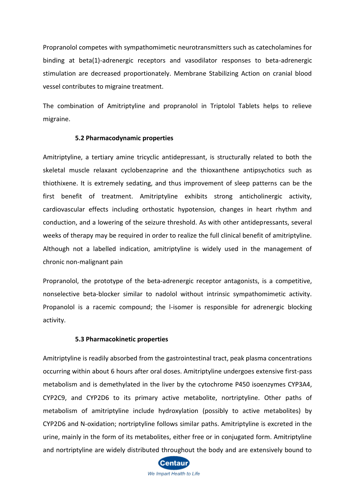Propranolol competes with sympathomimetic neurotransmitters such as catecholamines for binding at beta(1)-adrenergic receptors and vasodilator responses to beta-adrenergic stimulation are decreased proportionately. Membrane Stabilizing Action on cranial blood vessel contributes to migraine treatment.

The combination of Amitriptyline and propranolol in Triptolol Tablets helps to relieve migraine.

#### **5.2 Pharmacodynamic properties**

Amitriptyline, a tertiary amine tricyclic antidepressant, is structurally related to both the skeletal muscle relaxant cyclobenzaprine and the thioxanthene antipsychotics such as thiothixene. It is extremely sedating, and thus improvement of sleep patterns can be the first benefit of treatment. Amitriptyline exhibits strong anticholinergic activity, cardiovascular effects including orthostatic hypotension, changes in heart rhythm and conduction, and a lowering of the seizure threshold. As with other antidepressants, several weeks of therapy may be required in order to realize the full clinical benefit of amitriptyline. Although not a labelled indication, amitriptyline is widely used in the management of chronic non-malignant pain

Propranolol, the prototype of the beta-adrenergic receptor antagonists, is a competitive, nonselective beta-blocker similar to nadolol without intrinsic sympathomimetic activity. Propanolol is a racemic compound; the l-isomer is responsible for adrenergic blocking activity.

#### **5.3 Pharmacokinetic properties**

Amitriptyline is readily absorbed from the gastrointestinal tract, peak plasma concentrations occurring within about 6 hours after oral doses. Amitriptyline undergoes extensive first-pass metabolism and is demethylated in the liver by the cytochrome P450 isoenzymes CYP3A4, CYP2C9, and CYP2D6 to its primary active metabolite, nortriptyline. Other paths of metabolism of amitriptyline include hydroxylation (possibly to active metabolites) by CYP2D6 and N-oxidation; nortriptyline follows similar paths. Amitriptyline is excreted in the urine, mainly in the form of its metabolites, either free or in conjugated form. Amitriptyline and nortriptyline are widely distributed throughout the body and are extensively bound to

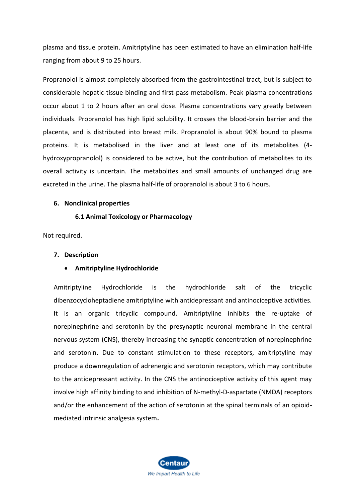plasma and tissue protein. Amitriptyline has been estimated to have an elimination half-life ranging from about 9 to 25 hours.

Propranolol is almost completely absorbed from the gastrointestinal tract, but is subject to considerable hepatic-tissue binding and first-pass metabolism. Peak plasma concentrations occur about 1 to 2 hours after an oral dose. Plasma concentrations vary greatly between individuals. Propranolol has high lipid solubility. It crosses the blood-brain barrier and the placenta, and is distributed into breast milk. Propranolol is about 90% bound to plasma proteins. It is metabolised in the liver and at least one of its metabolites (4 hydroxypropranolol) is considered to be active, but the contribution of metabolites to its overall activity is uncertain. The metabolites and small amounts of unchanged drug are excreted in the urine. The plasma half-life of propranolol is about 3 to 6 hours.

#### **6. Nonclinical properties**

#### **6.1 Animal Toxicology or Pharmacology**

Not required.

#### **7. Description**

#### • **Amitriptyline Hydrochloride**

Amitriptyline Hydrochloride is the hydrochloride salt of the tricyclic dibenzocycloheptadiene amitriptyline with antidepressant and antinociceptive activities. It is an organic tricyclic compound. Amitriptyline inhibits the re-uptake of norepinephrine and serotonin by the presynaptic neuronal membrane in the central nervous system (CNS), thereby increasing the synaptic concentration of norepinephrine and serotonin. Due to constant stimulation to these receptors, amitriptyline may produce a downregulation of adrenergic and serotonin receptors, which may contribute to the antidepressant activity. In the CNS the antinociceptive activity of this agent may involve high affinity binding to and inhibition of N-methyl-D-aspartate (NMDA) receptors and/or the enhancement of the action of serotonin at the spinal terminals of an opioidmediated intrinsic analgesia system**.**

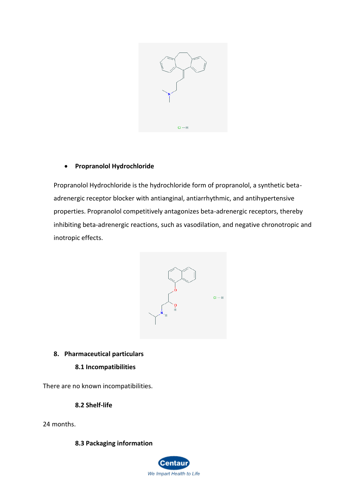

# • **Propranolol Hydrochloride**

Propranolol Hydrochloride is the hydrochloride form of propranolol, a synthetic betaadrenergic receptor blocker with antianginal, antiarrhythmic, and antihypertensive properties. Propranolol competitively antagonizes beta-adrenergic receptors, thereby inhibiting beta-adrenergic reactions, such as vasodilation, and negative chronotropic and inotropic effects.



# **8. Pharmaceutical particulars**

# **8.1 Incompatibilities**

There are no known incompatibilities.

**8.2 Shelf-life**

24 months.

# **8.3 Packaging information**

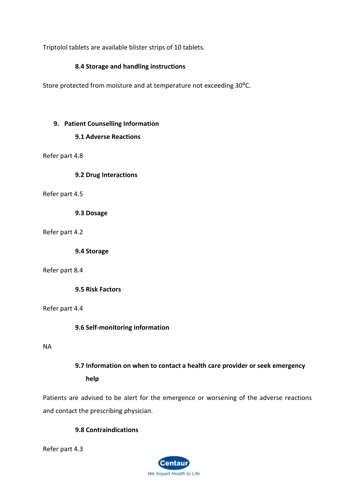Triptolol tablets are available blister strips of 10 tablets.

# **8.4 Storage and handling instructions**

Store protected from moisture and at temperature not exceeding 30°C.

# **9. Patient Counselling Information**

# **9.1 Adverse Reactions**

Refer part 4.8

**9.2 Drug Interactions**

Refer part 4.5

**9.3 Dosage**

Refer part 4.2

**9.4 Storage**

# Refer part 8.4

**9.5 Risk Factors**

Refer part 4.4

**9.6 Self-monitoring information**

NA

# **9.7 Information on when to contact a health care provider or seek emergency help**

Patients are advised to be alert for the emergence or worsening of the adverse reactions and contact the prescribing physician.

# **9.8 Contraindications**

Refer part 4.3